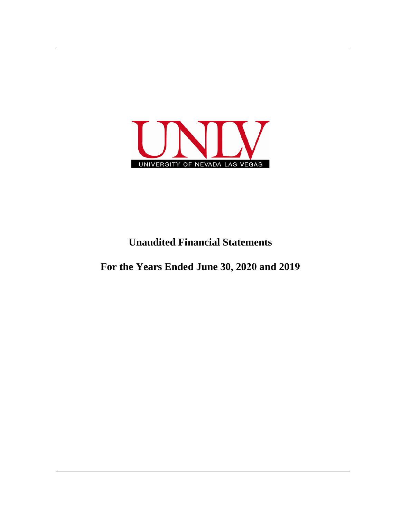

# **Unaudited Financial Statements**

**For the Years Ended June 30, 2020 and 2019**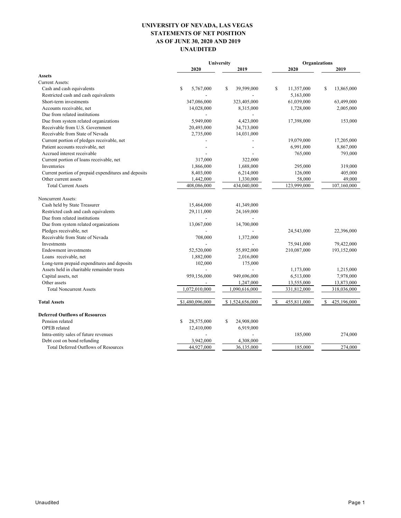# **UNIVERSITY OF NEVADA, LAS VEGAS STATEMENTS OF NET POSITION AS OF JUNE 30, 2020 AND 2019 UNAUDITED**

|                                                      | University               |                            | <b>Organizations</b> |                             |
|------------------------------------------------------|--------------------------|----------------------------|----------------------|-----------------------------|
|                                                      | 2020                     | 2019                       | 2020                 | 2019                        |
| <b>Assets</b>                                        |                          |                            |                      |                             |
| <b>Current Assets:</b>                               |                          |                            |                      |                             |
| Cash and cash equivalents                            | \$<br>5,767,000          | $\mathbb{S}$<br>39,599,000 | \$<br>11,357,000     | S<br>13,865,000             |
| Restricted cash and cash equivalents                 |                          |                            | 5,163,000            |                             |
| Short-term investments                               | 347,086,000              | 323,405,000                | 61,039,000           | 63,499,000                  |
| Accounts receivable, net                             | 14,028,000               | 8,315,000                  | 1,728,000            | 2,005,000                   |
| Due from related institutions                        |                          |                            |                      |                             |
| Due from system related organizations                | 5,949,000                | 4,423,000                  | 17,398,000           | 153,000                     |
| Receivable from U.S. Government                      | 20,493,000               | 34,713,000                 |                      |                             |
| Receivable from State of Nevada                      | 2,735,000                | 14,031,000                 |                      |                             |
| Current portion of pledges receivable, net           |                          |                            | 19,079,000           | 17,205,000                  |
| Patient accounts receivable, net                     |                          |                            | 6,991,000            | 8,867,000                   |
| Accrued interest receivable                          |                          |                            | 765,000              | 793,000                     |
| Current portion of loans receivable, net             | 317,000                  | 322,000                    |                      |                             |
| Inventories                                          | 1,866,000                | 1,688,000                  | 295,000              | 319,000                     |
| Current portion of prepaid expenditures and deposits | 8,403,000                | 6,214,000                  | 126,000              | 405,000                     |
| Other current assets                                 | 1,442,000                | 1,330,000                  | 58,000               | 49,000                      |
| <b>Total Current Assets</b>                          | 408,086,000              | 434,040,000                | 123,999,000          | 107,160,000                 |
| Noncurrent Assets:                                   |                          |                            |                      |                             |
| Cash held by State Treasurer                         | 15,464,000               | 41,349,000                 |                      |                             |
| Restricted cash and cash equivalents                 | 29,111,000               | 24,169,000                 |                      |                             |
| Due from related institutions                        |                          |                            |                      |                             |
| Due from system related organizations                | 13,067,000               | 14,700,000                 |                      |                             |
| Pledges receivable, net                              |                          |                            | 24,543,000           | 22,396,000                  |
| Receivable from State of Nevada                      | 708,000                  | 1,372,000                  |                      |                             |
| Investments                                          |                          |                            | 75,941,000           | 79,422,000                  |
| Endowment investments                                | 52,520,000               | 55,892,000                 | 210,087,000          | 193,152,000                 |
| Loans receivable, net                                | 1,882,000                | 2,016,000                  |                      |                             |
| Long-term prepaid expenditures and deposits          | 102,000                  | 175,000                    |                      |                             |
| Assets held in charitable remainder trusts           | $\overline{\phantom{a}}$ |                            | 1,173,000            | 1,215,000                   |
| Capital assets, net                                  | 959,156,000              | 949,696,000                | 6,513,000            | 7,978,000                   |
| Other assets                                         |                          | 1,247,000                  | 13,555,000           | 13,873,000                  |
| <b>Total Noncurrent Assets</b>                       | 1,072,010,000            | 1,090,616,000              | 331,812,000          | 318,036,000                 |
| <b>Total Assets</b>                                  | \$1,480,096,000          | \$1,524,656,000            | \$<br>455,811,000    | $\mathbb{S}$<br>425,196,000 |
| <b>Deferred Outflows of Resources</b>                |                          |                            |                      |                             |
| Pension related                                      | \$<br>28,575,000         | \$<br>24,908,000           |                      |                             |
| OPEB related                                         | 12,410,000               | 6,919,000                  |                      |                             |
| Intra-entity sales of future revenues                |                          |                            | 185,000              | 274,000                     |
| Debt cost on bond refunding                          | 3,942,000                | 4,308,000                  |                      |                             |
| <b>Total Deferred Outflows of Resources</b>          | 44,927,000               | 36,135,000                 | 185,000              | 274,000                     |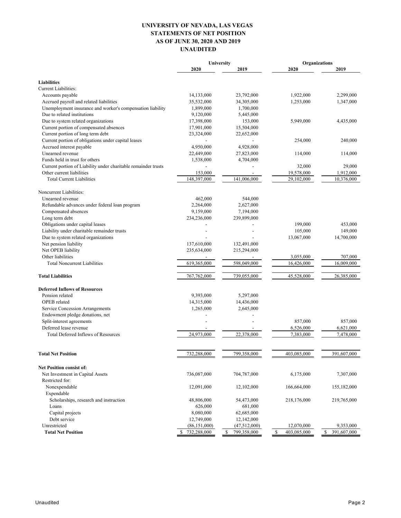# **UNIVERSITY OF NEVADA, LAS VEGAS STATEMENTS OF NET POSITION AS OF JUNE 30, 2020 AND 2019 UNAUDITED**

| 2020<br>2019<br>2020<br>2019<br><b>Liabilities</b><br>Current Liabilities:<br>2,299,000<br>Accounts payable<br>14,133,000<br>23,792,000<br>1,922,000<br>Accrued payroll and related liabilities<br>35,532,000<br>34,305,000<br>1,253,000<br>1,347,000<br>Unemployment insurance and worker's compensation liability<br>1,899,000<br>1,700,000<br>Due to related institutions<br>9,120,000<br>5,445,000<br>Due to system related organizations<br>17,398,000<br>5,949,000<br>153,000<br>4,435,000<br>Current portion of compensated absences<br>17,901,000<br>15,504,000<br>Current portion of long term debt<br>23,324,000<br>22,652,000<br>Current portion of obligations under capital leases<br>254,000<br>240,000<br>$\overline{\phantom{a}}$<br>Accrued interest payable<br>4,950,000<br>4,928,000<br>Unearned revenue<br>22,449,000<br>27,823,000<br>114,000<br>114,000<br>Funds held in trust for others<br>4,704,000<br>1,538,000<br>Current portion of Liability under charitable remainder trusts<br>29,000<br>32,000<br>Other current liabilities<br>153,000<br>19,578,000<br>1,912,000<br>148,397,000<br>141,006,000<br>29,102,000<br>10,376,000<br><b>Total Current Liabilities</b><br>Noncurrent Liabilities:<br>Unearned revenue<br>462,000<br>544,000<br>Refundable advances under federal loan program<br>2,264,000<br>2,627,000<br>9,159,000<br>Compensated absences<br>7,194,000<br>Long term debt<br>239,899,000<br>234,236,000<br>Obligations under capital leases<br>199,000<br>453,000<br>Liability under charitable remainder trusts<br>105,000<br>149,000<br>$\overline{a}$<br>Due to system related organizations<br>13,067,000<br>14,700,000<br>Net pension liability<br>137,610,000<br>132,491,000<br>Net OPEB liability<br>215,294,000<br>235,634,000<br>Other liabilities<br>3,055,000<br>707,000<br>619,365,000<br>598,049,000<br><b>Total Noncurrent Liabilities</b><br>16,426,000<br>16,009,000<br>45,528,000<br>26,385,000<br><b>Total Liabilities</b><br>767,762,000<br>739,055,000<br><b>Deferred Inflows of Resources</b><br>Pension related<br>9,393,000<br>5,297,000<br>OPEB related<br>14,315,000<br>14,436,000<br>Service Concession Arrangements<br>2,645,000<br>1,265,000<br>Endowment pledge donations, net<br>Split-interest agreements<br>857,000<br>857,000<br>Deferred lease revenue<br>6,526,000<br>6,621,000<br>24,973,000<br>22,378,000<br>7,383,000<br>Total Deferred Inflows of Resources<br>7,478,000<br>732,288,000<br>799,358,000<br>403,085,000<br>391,607,000<br><b>Total Net Position</b><br><b>Net Position consist of:</b><br>736,087,000<br>704,787,000<br>6,175,000<br>7,307,000<br>Net Investment in Capital Assets<br>Restricted for:<br>Nonexpendable<br>12,091,000<br>12,102,000<br>166,664,000<br>155,182,000<br>Expendable<br>Scholarships, research and instruction<br>48,806,000<br>54,473,000<br>218,176,000<br>219,765,000<br>Loans<br>626,000<br>681,000<br>Capital projects<br>8,080,000<br>62,685,000<br>Debt service<br>12,749,000<br>12,142,000<br>Unrestricted<br>9,353,000<br>(86, 151, 000)<br>(47,512,000)<br>12,070,000<br>391,607,000<br><b>Total Net Position</b><br>732,288,000<br>799,358,000<br>S<br>403,085,000<br>\$<br>S | University | Organizations |  |  |
|---------------------------------------------------------------------------------------------------------------------------------------------------------------------------------------------------------------------------------------------------------------------------------------------------------------------------------------------------------------------------------------------------------------------------------------------------------------------------------------------------------------------------------------------------------------------------------------------------------------------------------------------------------------------------------------------------------------------------------------------------------------------------------------------------------------------------------------------------------------------------------------------------------------------------------------------------------------------------------------------------------------------------------------------------------------------------------------------------------------------------------------------------------------------------------------------------------------------------------------------------------------------------------------------------------------------------------------------------------------------------------------------------------------------------------------------------------------------------------------------------------------------------------------------------------------------------------------------------------------------------------------------------------------------------------------------------------------------------------------------------------------------------------------------------------------------------------------------------------------------------------------------------------------------------------------------------------------------------------------------------------------------------------------------------------------------------------------------------------------------------------------------------------------------------------------------------------------------------------------------------------------------------------------------------------------------------------------------------------------------------------------------------------------------------------------------------------------------------------------------------------------------------------------------------------------------------------------------------------------------------------------------------------------------------------------------------------------------------------------------------------------------------------------------------------------------------------------------------------------------------------------------------------------------------------------------------------------------------------------------------------------------------------------------------------------------------------------------------------------------------------------------------------------------------------------------------------------------|------------|---------------|--|--|
|                                                                                                                                                                                                                                                                                                                                                                                                                                                                                                                                                                                                                                                                                                                                                                                                                                                                                                                                                                                                                                                                                                                                                                                                                                                                                                                                                                                                                                                                                                                                                                                                                                                                                                                                                                                                                                                                                                                                                                                                                                                                                                                                                                                                                                                                                                                                                                                                                                                                                                                                                                                                                                                                                                                                                                                                                                                                                                                                                                                                                                                                                                                                                                                                                     |            |               |  |  |
|                                                                                                                                                                                                                                                                                                                                                                                                                                                                                                                                                                                                                                                                                                                                                                                                                                                                                                                                                                                                                                                                                                                                                                                                                                                                                                                                                                                                                                                                                                                                                                                                                                                                                                                                                                                                                                                                                                                                                                                                                                                                                                                                                                                                                                                                                                                                                                                                                                                                                                                                                                                                                                                                                                                                                                                                                                                                                                                                                                                                                                                                                                                                                                                                                     |            |               |  |  |
|                                                                                                                                                                                                                                                                                                                                                                                                                                                                                                                                                                                                                                                                                                                                                                                                                                                                                                                                                                                                                                                                                                                                                                                                                                                                                                                                                                                                                                                                                                                                                                                                                                                                                                                                                                                                                                                                                                                                                                                                                                                                                                                                                                                                                                                                                                                                                                                                                                                                                                                                                                                                                                                                                                                                                                                                                                                                                                                                                                                                                                                                                                                                                                                                                     |            |               |  |  |
|                                                                                                                                                                                                                                                                                                                                                                                                                                                                                                                                                                                                                                                                                                                                                                                                                                                                                                                                                                                                                                                                                                                                                                                                                                                                                                                                                                                                                                                                                                                                                                                                                                                                                                                                                                                                                                                                                                                                                                                                                                                                                                                                                                                                                                                                                                                                                                                                                                                                                                                                                                                                                                                                                                                                                                                                                                                                                                                                                                                                                                                                                                                                                                                                                     |            |               |  |  |
|                                                                                                                                                                                                                                                                                                                                                                                                                                                                                                                                                                                                                                                                                                                                                                                                                                                                                                                                                                                                                                                                                                                                                                                                                                                                                                                                                                                                                                                                                                                                                                                                                                                                                                                                                                                                                                                                                                                                                                                                                                                                                                                                                                                                                                                                                                                                                                                                                                                                                                                                                                                                                                                                                                                                                                                                                                                                                                                                                                                                                                                                                                                                                                                                                     |            |               |  |  |
|                                                                                                                                                                                                                                                                                                                                                                                                                                                                                                                                                                                                                                                                                                                                                                                                                                                                                                                                                                                                                                                                                                                                                                                                                                                                                                                                                                                                                                                                                                                                                                                                                                                                                                                                                                                                                                                                                                                                                                                                                                                                                                                                                                                                                                                                                                                                                                                                                                                                                                                                                                                                                                                                                                                                                                                                                                                                                                                                                                                                                                                                                                                                                                                                                     |            |               |  |  |
|                                                                                                                                                                                                                                                                                                                                                                                                                                                                                                                                                                                                                                                                                                                                                                                                                                                                                                                                                                                                                                                                                                                                                                                                                                                                                                                                                                                                                                                                                                                                                                                                                                                                                                                                                                                                                                                                                                                                                                                                                                                                                                                                                                                                                                                                                                                                                                                                                                                                                                                                                                                                                                                                                                                                                                                                                                                                                                                                                                                                                                                                                                                                                                                                                     |            |               |  |  |
|                                                                                                                                                                                                                                                                                                                                                                                                                                                                                                                                                                                                                                                                                                                                                                                                                                                                                                                                                                                                                                                                                                                                                                                                                                                                                                                                                                                                                                                                                                                                                                                                                                                                                                                                                                                                                                                                                                                                                                                                                                                                                                                                                                                                                                                                                                                                                                                                                                                                                                                                                                                                                                                                                                                                                                                                                                                                                                                                                                                                                                                                                                                                                                                                                     |            |               |  |  |
|                                                                                                                                                                                                                                                                                                                                                                                                                                                                                                                                                                                                                                                                                                                                                                                                                                                                                                                                                                                                                                                                                                                                                                                                                                                                                                                                                                                                                                                                                                                                                                                                                                                                                                                                                                                                                                                                                                                                                                                                                                                                                                                                                                                                                                                                                                                                                                                                                                                                                                                                                                                                                                                                                                                                                                                                                                                                                                                                                                                                                                                                                                                                                                                                                     |            |               |  |  |
|                                                                                                                                                                                                                                                                                                                                                                                                                                                                                                                                                                                                                                                                                                                                                                                                                                                                                                                                                                                                                                                                                                                                                                                                                                                                                                                                                                                                                                                                                                                                                                                                                                                                                                                                                                                                                                                                                                                                                                                                                                                                                                                                                                                                                                                                                                                                                                                                                                                                                                                                                                                                                                                                                                                                                                                                                                                                                                                                                                                                                                                                                                                                                                                                                     |            |               |  |  |
|                                                                                                                                                                                                                                                                                                                                                                                                                                                                                                                                                                                                                                                                                                                                                                                                                                                                                                                                                                                                                                                                                                                                                                                                                                                                                                                                                                                                                                                                                                                                                                                                                                                                                                                                                                                                                                                                                                                                                                                                                                                                                                                                                                                                                                                                                                                                                                                                                                                                                                                                                                                                                                                                                                                                                                                                                                                                                                                                                                                                                                                                                                                                                                                                                     |            |               |  |  |
|                                                                                                                                                                                                                                                                                                                                                                                                                                                                                                                                                                                                                                                                                                                                                                                                                                                                                                                                                                                                                                                                                                                                                                                                                                                                                                                                                                                                                                                                                                                                                                                                                                                                                                                                                                                                                                                                                                                                                                                                                                                                                                                                                                                                                                                                                                                                                                                                                                                                                                                                                                                                                                                                                                                                                                                                                                                                                                                                                                                                                                                                                                                                                                                                                     |            |               |  |  |
|                                                                                                                                                                                                                                                                                                                                                                                                                                                                                                                                                                                                                                                                                                                                                                                                                                                                                                                                                                                                                                                                                                                                                                                                                                                                                                                                                                                                                                                                                                                                                                                                                                                                                                                                                                                                                                                                                                                                                                                                                                                                                                                                                                                                                                                                                                                                                                                                                                                                                                                                                                                                                                                                                                                                                                                                                                                                                                                                                                                                                                                                                                                                                                                                                     |            |               |  |  |
|                                                                                                                                                                                                                                                                                                                                                                                                                                                                                                                                                                                                                                                                                                                                                                                                                                                                                                                                                                                                                                                                                                                                                                                                                                                                                                                                                                                                                                                                                                                                                                                                                                                                                                                                                                                                                                                                                                                                                                                                                                                                                                                                                                                                                                                                                                                                                                                                                                                                                                                                                                                                                                                                                                                                                                                                                                                                                                                                                                                                                                                                                                                                                                                                                     |            |               |  |  |
|                                                                                                                                                                                                                                                                                                                                                                                                                                                                                                                                                                                                                                                                                                                                                                                                                                                                                                                                                                                                                                                                                                                                                                                                                                                                                                                                                                                                                                                                                                                                                                                                                                                                                                                                                                                                                                                                                                                                                                                                                                                                                                                                                                                                                                                                                                                                                                                                                                                                                                                                                                                                                                                                                                                                                                                                                                                                                                                                                                                                                                                                                                                                                                                                                     |            |               |  |  |
|                                                                                                                                                                                                                                                                                                                                                                                                                                                                                                                                                                                                                                                                                                                                                                                                                                                                                                                                                                                                                                                                                                                                                                                                                                                                                                                                                                                                                                                                                                                                                                                                                                                                                                                                                                                                                                                                                                                                                                                                                                                                                                                                                                                                                                                                                                                                                                                                                                                                                                                                                                                                                                                                                                                                                                                                                                                                                                                                                                                                                                                                                                                                                                                                                     |            |               |  |  |
|                                                                                                                                                                                                                                                                                                                                                                                                                                                                                                                                                                                                                                                                                                                                                                                                                                                                                                                                                                                                                                                                                                                                                                                                                                                                                                                                                                                                                                                                                                                                                                                                                                                                                                                                                                                                                                                                                                                                                                                                                                                                                                                                                                                                                                                                                                                                                                                                                                                                                                                                                                                                                                                                                                                                                                                                                                                                                                                                                                                                                                                                                                                                                                                                                     |            |               |  |  |
|                                                                                                                                                                                                                                                                                                                                                                                                                                                                                                                                                                                                                                                                                                                                                                                                                                                                                                                                                                                                                                                                                                                                                                                                                                                                                                                                                                                                                                                                                                                                                                                                                                                                                                                                                                                                                                                                                                                                                                                                                                                                                                                                                                                                                                                                                                                                                                                                                                                                                                                                                                                                                                                                                                                                                                                                                                                                                                                                                                                                                                                                                                                                                                                                                     |            |               |  |  |
|                                                                                                                                                                                                                                                                                                                                                                                                                                                                                                                                                                                                                                                                                                                                                                                                                                                                                                                                                                                                                                                                                                                                                                                                                                                                                                                                                                                                                                                                                                                                                                                                                                                                                                                                                                                                                                                                                                                                                                                                                                                                                                                                                                                                                                                                                                                                                                                                                                                                                                                                                                                                                                                                                                                                                                                                                                                                                                                                                                                                                                                                                                                                                                                                                     |            |               |  |  |
|                                                                                                                                                                                                                                                                                                                                                                                                                                                                                                                                                                                                                                                                                                                                                                                                                                                                                                                                                                                                                                                                                                                                                                                                                                                                                                                                                                                                                                                                                                                                                                                                                                                                                                                                                                                                                                                                                                                                                                                                                                                                                                                                                                                                                                                                                                                                                                                                                                                                                                                                                                                                                                                                                                                                                                                                                                                                                                                                                                                                                                                                                                                                                                                                                     |            |               |  |  |
|                                                                                                                                                                                                                                                                                                                                                                                                                                                                                                                                                                                                                                                                                                                                                                                                                                                                                                                                                                                                                                                                                                                                                                                                                                                                                                                                                                                                                                                                                                                                                                                                                                                                                                                                                                                                                                                                                                                                                                                                                                                                                                                                                                                                                                                                                                                                                                                                                                                                                                                                                                                                                                                                                                                                                                                                                                                                                                                                                                                                                                                                                                                                                                                                                     |            |               |  |  |
|                                                                                                                                                                                                                                                                                                                                                                                                                                                                                                                                                                                                                                                                                                                                                                                                                                                                                                                                                                                                                                                                                                                                                                                                                                                                                                                                                                                                                                                                                                                                                                                                                                                                                                                                                                                                                                                                                                                                                                                                                                                                                                                                                                                                                                                                                                                                                                                                                                                                                                                                                                                                                                                                                                                                                                                                                                                                                                                                                                                                                                                                                                                                                                                                                     |            |               |  |  |
|                                                                                                                                                                                                                                                                                                                                                                                                                                                                                                                                                                                                                                                                                                                                                                                                                                                                                                                                                                                                                                                                                                                                                                                                                                                                                                                                                                                                                                                                                                                                                                                                                                                                                                                                                                                                                                                                                                                                                                                                                                                                                                                                                                                                                                                                                                                                                                                                                                                                                                                                                                                                                                                                                                                                                                                                                                                                                                                                                                                                                                                                                                                                                                                                                     |            |               |  |  |
|                                                                                                                                                                                                                                                                                                                                                                                                                                                                                                                                                                                                                                                                                                                                                                                                                                                                                                                                                                                                                                                                                                                                                                                                                                                                                                                                                                                                                                                                                                                                                                                                                                                                                                                                                                                                                                                                                                                                                                                                                                                                                                                                                                                                                                                                                                                                                                                                                                                                                                                                                                                                                                                                                                                                                                                                                                                                                                                                                                                                                                                                                                                                                                                                                     |            |               |  |  |
|                                                                                                                                                                                                                                                                                                                                                                                                                                                                                                                                                                                                                                                                                                                                                                                                                                                                                                                                                                                                                                                                                                                                                                                                                                                                                                                                                                                                                                                                                                                                                                                                                                                                                                                                                                                                                                                                                                                                                                                                                                                                                                                                                                                                                                                                                                                                                                                                                                                                                                                                                                                                                                                                                                                                                                                                                                                                                                                                                                                                                                                                                                                                                                                                                     |            |               |  |  |
|                                                                                                                                                                                                                                                                                                                                                                                                                                                                                                                                                                                                                                                                                                                                                                                                                                                                                                                                                                                                                                                                                                                                                                                                                                                                                                                                                                                                                                                                                                                                                                                                                                                                                                                                                                                                                                                                                                                                                                                                                                                                                                                                                                                                                                                                                                                                                                                                                                                                                                                                                                                                                                                                                                                                                                                                                                                                                                                                                                                                                                                                                                                                                                                                                     |            |               |  |  |
|                                                                                                                                                                                                                                                                                                                                                                                                                                                                                                                                                                                                                                                                                                                                                                                                                                                                                                                                                                                                                                                                                                                                                                                                                                                                                                                                                                                                                                                                                                                                                                                                                                                                                                                                                                                                                                                                                                                                                                                                                                                                                                                                                                                                                                                                                                                                                                                                                                                                                                                                                                                                                                                                                                                                                                                                                                                                                                                                                                                                                                                                                                                                                                                                                     |            |               |  |  |
|                                                                                                                                                                                                                                                                                                                                                                                                                                                                                                                                                                                                                                                                                                                                                                                                                                                                                                                                                                                                                                                                                                                                                                                                                                                                                                                                                                                                                                                                                                                                                                                                                                                                                                                                                                                                                                                                                                                                                                                                                                                                                                                                                                                                                                                                                                                                                                                                                                                                                                                                                                                                                                                                                                                                                                                                                                                                                                                                                                                                                                                                                                                                                                                                                     |            |               |  |  |
|                                                                                                                                                                                                                                                                                                                                                                                                                                                                                                                                                                                                                                                                                                                                                                                                                                                                                                                                                                                                                                                                                                                                                                                                                                                                                                                                                                                                                                                                                                                                                                                                                                                                                                                                                                                                                                                                                                                                                                                                                                                                                                                                                                                                                                                                                                                                                                                                                                                                                                                                                                                                                                                                                                                                                                                                                                                                                                                                                                                                                                                                                                                                                                                                                     |            |               |  |  |
|                                                                                                                                                                                                                                                                                                                                                                                                                                                                                                                                                                                                                                                                                                                                                                                                                                                                                                                                                                                                                                                                                                                                                                                                                                                                                                                                                                                                                                                                                                                                                                                                                                                                                                                                                                                                                                                                                                                                                                                                                                                                                                                                                                                                                                                                                                                                                                                                                                                                                                                                                                                                                                                                                                                                                                                                                                                                                                                                                                                                                                                                                                                                                                                                                     |            |               |  |  |
|                                                                                                                                                                                                                                                                                                                                                                                                                                                                                                                                                                                                                                                                                                                                                                                                                                                                                                                                                                                                                                                                                                                                                                                                                                                                                                                                                                                                                                                                                                                                                                                                                                                                                                                                                                                                                                                                                                                                                                                                                                                                                                                                                                                                                                                                                                                                                                                                                                                                                                                                                                                                                                                                                                                                                                                                                                                                                                                                                                                                                                                                                                                                                                                                                     |            |               |  |  |
|                                                                                                                                                                                                                                                                                                                                                                                                                                                                                                                                                                                                                                                                                                                                                                                                                                                                                                                                                                                                                                                                                                                                                                                                                                                                                                                                                                                                                                                                                                                                                                                                                                                                                                                                                                                                                                                                                                                                                                                                                                                                                                                                                                                                                                                                                                                                                                                                                                                                                                                                                                                                                                                                                                                                                                                                                                                                                                                                                                                                                                                                                                                                                                                                                     |            |               |  |  |
|                                                                                                                                                                                                                                                                                                                                                                                                                                                                                                                                                                                                                                                                                                                                                                                                                                                                                                                                                                                                                                                                                                                                                                                                                                                                                                                                                                                                                                                                                                                                                                                                                                                                                                                                                                                                                                                                                                                                                                                                                                                                                                                                                                                                                                                                                                                                                                                                                                                                                                                                                                                                                                                                                                                                                                                                                                                                                                                                                                                                                                                                                                                                                                                                                     |            |               |  |  |
|                                                                                                                                                                                                                                                                                                                                                                                                                                                                                                                                                                                                                                                                                                                                                                                                                                                                                                                                                                                                                                                                                                                                                                                                                                                                                                                                                                                                                                                                                                                                                                                                                                                                                                                                                                                                                                                                                                                                                                                                                                                                                                                                                                                                                                                                                                                                                                                                                                                                                                                                                                                                                                                                                                                                                                                                                                                                                                                                                                                                                                                                                                                                                                                                                     |            |               |  |  |
|                                                                                                                                                                                                                                                                                                                                                                                                                                                                                                                                                                                                                                                                                                                                                                                                                                                                                                                                                                                                                                                                                                                                                                                                                                                                                                                                                                                                                                                                                                                                                                                                                                                                                                                                                                                                                                                                                                                                                                                                                                                                                                                                                                                                                                                                                                                                                                                                                                                                                                                                                                                                                                                                                                                                                                                                                                                                                                                                                                                                                                                                                                                                                                                                                     |            |               |  |  |
|                                                                                                                                                                                                                                                                                                                                                                                                                                                                                                                                                                                                                                                                                                                                                                                                                                                                                                                                                                                                                                                                                                                                                                                                                                                                                                                                                                                                                                                                                                                                                                                                                                                                                                                                                                                                                                                                                                                                                                                                                                                                                                                                                                                                                                                                                                                                                                                                                                                                                                                                                                                                                                                                                                                                                                                                                                                                                                                                                                                                                                                                                                                                                                                                                     |            |               |  |  |
|                                                                                                                                                                                                                                                                                                                                                                                                                                                                                                                                                                                                                                                                                                                                                                                                                                                                                                                                                                                                                                                                                                                                                                                                                                                                                                                                                                                                                                                                                                                                                                                                                                                                                                                                                                                                                                                                                                                                                                                                                                                                                                                                                                                                                                                                                                                                                                                                                                                                                                                                                                                                                                                                                                                                                                                                                                                                                                                                                                                                                                                                                                                                                                                                                     |            |               |  |  |
|                                                                                                                                                                                                                                                                                                                                                                                                                                                                                                                                                                                                                                                                                                                                                                                                                                                                                                                                                                                                                                                                                                                                                                                                                                                                                                                                                                                                                                                                                                                                                                                                                                                                                                                                                                                                                                                                                                                                                                                                                                                                                                                                                                                                                                                                                                                                                                                                                                                                                                                                                                                                                                                                                                                                                                                                                                                                                                                                                                                                                                                                                                                                                                                                                     |            |               |  |  |
|                                                                                                                                                                                                                                                                                                                                                                                                                                                                                                                                                                                                                                                                                                                                                                                                                                                                                                                                                                                                                                                                                                                                                                                                                                                                                                                                                                                                                                                                                                                                                                                                                                                                                                                                                                                                                                                                                                                                                                                                                                                                                                                                                                                                                                                                                                                                                                                                                                                                                                                                                                                                                                                                                                                                                                                                                                                                                                                                                                                                                                                                                                                                                                                                                     |            |               |  |  |
|                                                                                                                                                                                                                                                                                                                                                                                                                                                                                                                                                                                                                                                                                                                                                                                                                                                                                                                                                                                                                                                                                                                                                                                                                                                                                                                                                                                                                                                                                                                                                                                                                                                                                                                                                                                                                                                                                                                                                                                                                                                                                                                                                                                                                                                                                                                                                                                                                                                                                                                                                                                                                                                                                                                                                                                                                                                                                                                                                                                                                                                                                                                                                                                                                     |            |               |  |  |
|                                                                                                                                                                                                                                                                                                                                                                                                                                                                                                                                                                                                                                                                                                                                                                                                                                                                                                                                                                                                                                                                                                                                                                                                                                                                                                                                                                                                                                                                                                                                                                                                                                                                                                                                                                                                                                                                                                                                                                                                                                                                                                                                                                                                                                                                                                                                                                                                                                                                                                                                                                                                                                                                                                                                                                                                                                                                                                                                                                                                                                                                                                                                                                                                                     |            |               |  |  |
|                                                                                                                                                                                                                                                                                                                                                                                                                                                                                                                                                                                                                                                                                                                                                                                                                                                                                                                                                                                                                                                                                                                                                                                                                                                                                                                                                                                                                                                                                                                                                                                                                                                                                                                                                                                                                                                                                                                                                                                                                                                                                                                                                                                                                                                                                                                                                                                                                                                                                                                                                                                                                                                                                                                                                                                                                                                                                                                                                                                                                                                                                                                                                                                                                     |            |               |  |  |
|                                                                                                                                                                                                                                                                                                                                                                                                                                                                                                                                                                                                                                                                                                                                                                                                                                                                                                                                                                                                                                                                                                                                                                                                                                                                                                                                                                                                                                                                                                                                                                                                                                                                                                                                                                                                                                                                                                                                                                                                                                                                                                                                                                                                                                                                                                                                                                                                                                                                                                                                                                                                                                                                                                                                                                                                                                                                                                                                                                                                                                                                                                                                                                                                                     |            |               |  |  |
|                                                                                                                                                                                                                                                                                                                                                                                                                                                                                                                                                                                                                                                                                                                                                                                                                                                                                                                                                                                                                                                                                                                                                                                                                                                                                                                                                                                                                                                                                                                                                                                                                                                                                                                                                                                                                                                                                                                                                                                                                                                                                                                                                                                                                                                                                                                                                                                                                                                                                                                                                                                                                                                                                                                                                                                                                                                                                                                                                                                                                                                                                                                                                                                                                     |            |               |  |  |
|                                                                                                                                                                                                                                                                                                                                                                                                                                                                                                                                                                                                                                                                                                                                                                                                                                                                                                                                                                                                                                                                                                                                                                                                                                                                                                                                                                                                                                                                                                                                                                                                                                                                                                                                                                                                                                                                                                                                                                                                                                                                                                                                                                                                                                                                                                                                                                                                                                                                                                                                                                                                                                                                                                                                                                                                                                                                                                                                                                                                                                                                                                                                                                                                                     |            |               |  |  |
|                                                                                                                                                                                                                                                                                                                                                                                                                                                                                                                                                                                                                                                                                                                                                                                                                                                                                                                                                                                                                                                                                                                                                                                                                                                                                                                                                                                                                                                                                                                                                                                                                                                                                                                                                                                                                                                                                                                                                                                                                                                                                                                                                                                                                                                                                                                                                                                                                                                                                                                                                                                                                                                                                                                                                                                                                                                                                                                                                                                                                                                                                                                                                                                                                     |            |               |  |  |
|                                                                                                                                                                                                                                                                                                                                                                                                                                                                                                                                                                                                                                                                                                                                                                                                                                                                                                                                                                                                                                                                                                                                                                                                                                                                                                                                                                                                                                                                                                                                                                                                                                                                                                                                                                                                                                                                                                                                                                                                                                                                                                                                                                                                                                                                                                                                                                                                                                                                                                                                                                                                                                                                                                                                                                                                                                                                                                                                                                                                                                                                                                                                                                                                                     |            |               |  |  |
|                                                                                                                                                                                                                                                                                                                                                                                                                                                                                                                                                                                                                                                                                                                                                                                                                                                                                                                                                                                                                                                                                                                                                                                                                                                                                                                                                                                                                                                                                                                                                                                                                                                                                                                                                                                                                                                                                                                                                                                                                                                                                                                                                                                                                                                                                                                                                                                                                                                                                                                                                                                                                                                                                                                                                                                                                                                                                                                                                                                                                                                                                                                                                                                                                     |            |               |  |  |
|                                                                                                                                                                                                                                                                                                                                                                                                                                                                                                                                                                                                                                                                                                                                                                                                                                                                                                                                                                                                                                                                                                                                                                                                                                                                                                                                                                                                                                                                                                                                                                                                                                                                                                                                                                                                                                                                                                                                                                                                                                                                                                                                                                                                                                                                                                                                                                                                                                                                                                                                                                                                                                                                                                                                                                                                                                                                                                                                                                                                                                                                                                                                                                                                                     |            |               |  |  |
|                                                                                                                                                                                                                                                                                                                                                                                                                                                                                                                                                                                                                                                                                                                                                                                                                                                                                                                                                                                                                                                                                                                                                                                                                                                                                                                                                                                                                                                                                                                                                                                                                                                                                                                                                                                                                                                                                                                                                                                                                                                                                                                                                                                                                                                                                                                                                                                                                                                                                                                                                                                                                                                                                                                                                                                                                                                                                                                                                                                                                                                                                                                                                                                                                     |            |               |  |  |
|                                                                                                                                                                                                                                                                                                                                                                                                                                                                                                                                                                                                                                                                                                                                                                                                                                                                                                                                                                                                                                                                                                                                                                                                                                                                                                                                                                                                                                                                                                                                                                                                                                                                                                                                                                                                                                                                                                                                                                                                                                                                                                                                                                                                                                                                                                                                                                                                                                                                                                                                                                                                                                                                                                                                                                                                                                                                                                                                                                                                                                                                                                                                                                                                                     |            |               |  |  |
|                                                                                                                                                                                                                                                                                                                                                                                                                                                                                                                                                                                                                                                                                                                                                                                                                                                                                                                                                                                                                                                                                                                                                                                                                                                                                                                                                                                                                                                                                                                                                                                                                                                                                                                                                                                                                                                                                                                                                                                                                                                                                                                                                                                                                                                                                                                                                                                                                                                                                                                                                                                                                                                                                                                                                                                                                                                                                                                                                                                                                                                                                                                                                                                                                     |            |               |  |  |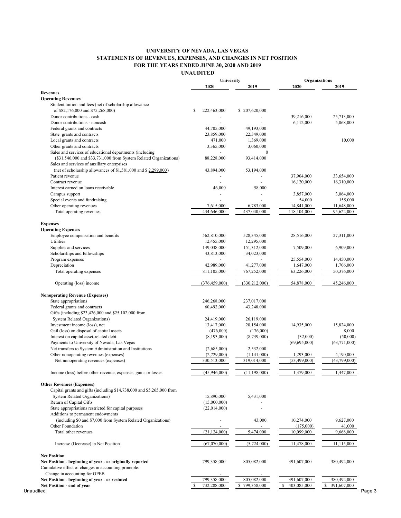#### **UNIVERSITY OF NEVADA, LAS VEGAS STATEMENTS OF REVENUES, EXPENSES, AND CHANGES IN NET POSITION FOR THE YEARS ENDED JUNE 30, 2020 AND 2019 UNAUDITED**

**2020 2019 2020 2019 Revenues Operating Revenues** Student tuition and fees (net of scholarship allowance of \$82,176,000 and \$75,268,000) \$ 222,463,000 \$ 207,620,000 Donor contributions - cash - - 39,216,000 25,713,000 Donor contributions - noncash 6,112,000 5,068,000 5,068,000 5,068,000 5,068,000 5,068,000 5,068,000 5,068,000 5,068,000 5,068,000 5,068,000 5,068,000 5,068,000 5,068,000 5,068,000 5,068,000 5,068,000 5,068,000 5,068,000 5, Federal grants and contracts 44,705,000 49,193,000 State grants and contracts 23,859,000 22,349,000<br>
Local grants and contracts 471,000 1,369,000 Local grants and contracts  $\frac{471,000}{10,000}$  1,369,000 Other grants and contracts 3,365,000 3,060,000 3,060,000 Sales and services of educational departments (including  $0$  (\$31,546,000 and \$33,731,000 from System Related Organizations) 88,228,000 93,414,000 Sales and services of auxiliary enterprises (net of scholarship allowances of \$1,581,000 and \$ 2,299,000) 43,894,000 53,194,000 Patient revenue 37,904,000 33,654,000 33,654,000 Contract revenue 16,310,000 16,310,000 16,310,000 16,310,000 16,310,000 16,310,000 16,310,000 16,310,000 16,310 Interest earned on loans receivable 46,000 58,000 Campus support 3,064,000 3,064,000 3,064,000 3,057,000 3,057,000 3,057,000 3,057,000 3,064,000 Special events and fundraising 155,000 155,000 155,000 155,000 155,000 155,000 155,000 155,000 155,000 155,000 Other operating revenues and the state of the control of the control of the control of the control of the control of the control of the control of the control of the control of the control of the control of the control of Total operating revenues 434,646,000 437,040,000 118,104,000 95,622,000 **Expenses Operating Expenses** Employee compensation and benefits  $562,810,000$   $528,345,000$   $28,516,000$   $27,311,000$ Utilities 12,455,000 12,295,000 12,295,000 Supplies and services and services and services the service of the services of the services of the services of the services of the services of the services of the services of the services of the services of the service of Scholarships and fellowships **43,813,000** 34,023,000 34,023,000 Program expenses - - 25,554,000 14,450,000 Depreciation 1,647,000 1,706,000 41,277,000 1,647,000 1,706,000 Total operating expenses 811,105,000 811,105,000 767,252,000 63,226,000 50,376,000 Operating (loss) income (376,459,000 (330,212,000) 54,878,000 45,246,000 **Nonoperating Revenue (Expenses)** State appropriations 246,268,000 237,017,000 Federal grants and contracts  $60,492,000$   $43,248,000$ Gifts (including \$23,426,000 and \$25,102,000 from System Related Organizations) 24,419,000 26,119,000 26,119,000 26,119,000 26,119,000 26,119,000 20,154,000 Investment income (loss), net 13,417,000 13,824,000 15,824,000 15,824,000 Gail (loss) on disposal of capital assets (476,000) (176,000) (176,000) (176,000) 8,000 Interest on capital asset-related debt (8,193,000) (8,739,000) (32,000) (50,000) (50,000) Payments to University of Nevada, Las Vegas - (69,695,000) (63,771,000) (63,771,000) Net transfers to System Administration and Institutions (2,685,000) 2,532,000<br>Other nonoperating revenues (expenses) (2,729,000) (1,141,000) Other nonoperating revenues (expenses) (2,729,000) (1,141,000) 1,293,000 4,190,000 Net nonoperating revenues (expenses) 330,513,000 319,014,000 (53,499,000) (43,799,000) Income (loss) before other revenue, expenses, gains or losses (45,946,000) (11,198,000) 1,379,000 1,447,000 **Other Revenues (Expenses)** Capital grants and gifts (including \$14,738,000 and \$5,265,000 from System Related Organizations) 15,890,000 5,431,000 Return of Capital Gifts (15,000,000)<br>State appropriations restricted for capital purposes (22,014,000) State appropriations restricted for capital purposes (22,014,000)  $(22.014,000)$ Additions to permanent endowments (including \$0 and \$7,000 from System Related Organizations) - 43,000 10,274,000 9,627,000 Other Foundation **41,000** 41,000 Total other revenues  $(21,124,000)$   $5,474,000$   $10,099,000$   $9,668,000$ Increase (Decrease) in Net Position (67,070,000) (5,724,000) (5,724,000) 11,478,000 11,115,000 **Net Position Net Position - beginning of year - as originally reported** 799,358,000 805,082,000 391,607,000 380,492,000 Cumulative effect of changes in accounting principle: Change in accounting for OPEB **Net Position - beginning of year - as restated** 799,358,000 805,082,000 391,607,000 380,492,000 **Net Position - end of year** \$ 732,288,000 \$ 799,358,000 \$ 403,085,000 \$ 391,607,000 **University Organizations**

Unaudited Page 3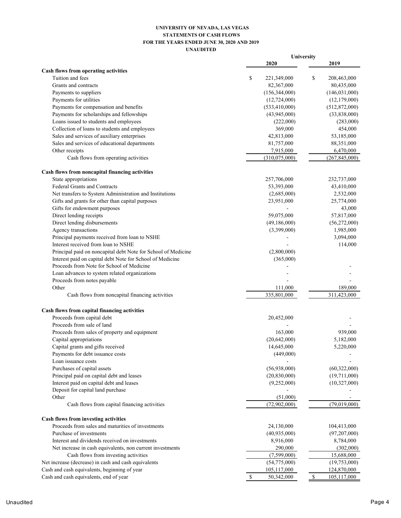## **UNIVERSITY OF NEVADA, LAS VEGAS STATEMENTS OF CASH FLOWS FOR THE YEARS ENDED JUNE 30, 2020 AND 2019 UNAUDITED**

|                                                               |                   | University                  |  |  |
|---------------------------------------------------------------|-------------------|-----------------------------|--|--|
|                                                               | 2020              | 2019                        |  |  |
| Cash flows from operating activities                          |                   |                             |  |  |
| Tuition and fees                                              | \$<br>221,349,000 | \$<br>208,463,000           |  |  |
| Grants and contracts                                          | 82,367,000        | 80,435,000                  |  |  |
| Payments to suppliers                                         | (156,344,000)     | (146, 031, 000)             |  |  |
| Payments for utilities                                        | (12,724,000)      | (12,179,000)                |  |  |
| Payments for compensation and benefits                        | (533, 410, 000)   | (512, 872, 000)             |  |  |
| Payments for scholarships and fellowships                     | (43,945,000)      | (33,838,000)                |  |  |
| Loans issued to students and employees                        | (222,000)         | (283,000)                   |  |  |
| Collection of loans to students and employees                 | 369,000           | 454,000                     |  |  |
| Sales and services of auxiliary enterprises                   | 42,813,000        | 53,185,000                  |  |  |
| Sales and services of educational departments                 | 81,757,000        | 88,351,000                  |  |  |
| Other receipts                                                | 7,915,000         | 6,470,000                   |  |  |
| Cash flows from operating activities                          | (310,075,000)     | (267, 845, 000)             |  |  |
| Cash flows from noncapital financing activities               |                   |                             |  |  |
| State appropriations                                          | 257,706,000       | 232,737,000                 |  |  |
| Federal Grants and Contracts                                  | 53,393,000        | 43,410,000                  |  |  |
| Net transfers to System Administration and Institutions       | (2,685,000)       | 2,532,000                   |  |  |
| Gifts and grants for other than capital purposes              | 23,951,000        | 25,774,000                  |  |  |
| Gifts for endowment purposes                                  |                   | 43,000                      |  |  |
| Direct lending receipts                                       | 59,075,000        | 57,817,000                  |  |  |
| Direct lending disbursements                                  | (49, 186, 000)    | (56,272,000)                |  |  |
| Agency transactions                                           | (3,399,000)       | 1,985,000                   |  |  |
| Principal payments received from loan to NSHE                 |                   | 3,094,000                   |  |  |
| Interest received from loan to NSHE                           |                   | 114,000                     |  |  |
| Principal paid on noncapital debt Note for School of Medicine | (2,800,000)       |                             |  |  |
| Interest paid on capital debt Note for School of Medicine     | (365,000)         |                             |  |  |
| Proceeds from Note for School of Medicine                     |                   |                             |  |  |
| Loan advances to system related organizations                 |                   |                             |  |  |
| Proceeds from notes payable                                   |                   |                             |  |  |
| Other                                                         | 111,000           | 189,000                     |  |  |
|                                                               | 335,801,000       | 311,423,000                 |  |  |
| Cash flows from noncapital financing activities               |                   |                             |  |  |
| Cash flows from capital financing activities                  |                   |                             |  |  |
| Proceeds from capital debt                                    | 20,452,000        |                             |  |  |
| Proceeds from sale of land                                    |                   |                             |  |  |
| Proceeds from sales of property and equipment                 | 163,000           | 939,000                     |  |  |
| Capital appropriations                                        | (20, 642, 000)    | 5,182,000                   |  |  |
| Capital grants and gifts received                             | 14,645,000        | 5,220,000                   |  |  |
| Payments for debt issuance costs                              | (449,000)         |                             |  |  |
| Loan issuance costs                                           |                   |                             |  |  |
| Purchases of capital assets                                   | (56,938,000)      | (60, 322, 000)              |  |  |
| Principal paid on capital debt and leases                     | (20, 830, 000)    | (19,711,000)                |  |  |
| Interest paid on capital debt and leases                      | (9,252,000)       | (10,327,000)                |  |  |
| Deposit for capital land purchase                             |                   |                             |  |  |
| Other                                                         | (51,000)          |                             |  |  |
| Cash flows from capital financing activities                  | (72,902,000)      | (79,019,000)                |  |  |
| Cash flows from investing activities                          |                   |                             |  |  |
| Proceeds from sales and maturities of investments             | 24,130,000        | 104,413,000                 |  |  |
| Purchase of investments                                       | (40,935,000)      | (97,207,000)                |  |  |
| Interest and dividends received on investments                | 8,916,000         | 8,784,000                   |  |  |
| Net increase in cash equivalents, non current investments     | 290,000           | (302,000)                   |  |  |
| Cash flows from investing activities                          | (7,599,000)       | 15,688,000                  |  |  |
| Net increase (decrease) in cash and cash equivalents          | (54,775,000)      | (19,753,000)                |  |  |
| Cash and cash equivalents, beginning of year                  | 105,117,000       | 124,870,000                 |  |  |
| Cash and cash equivalents, end of year                        | \$<br>50,342,000  | $\mathbb{S}$<br>105,117,000 |  |  |
|                                                               |                   |                             |  |  |